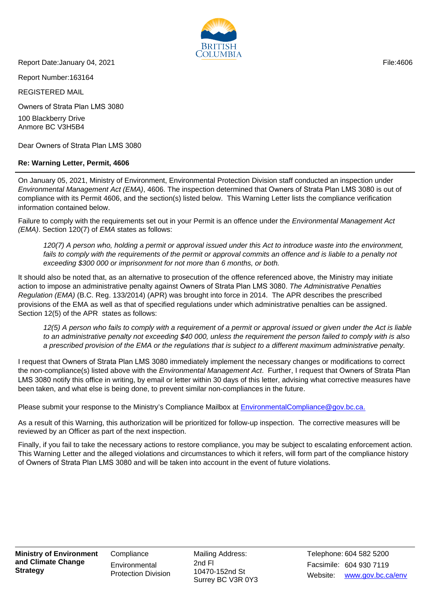

Report Date:January 04, 2021

Report Number:163164

REGISTERED MAIL

Owners of Strata Plan LMS 3080

100 Blackberry Drive Anmore BC V3H5B4

Dear Owners of Strata Plan LMS 3080

## **Re: Warning Letter, Permit, 4606**

On January 05, 2021, Ministry of Environment, Environmental Protection Division staff conducted an inspection under Environmental Management Act (EMA), 4606. The inspection determined that Owners of Strata Plan LMS 3080 is out of compliance with its Permit 4606, and the section(s) listed below. This Warning Letter lists the compliance verification information contained below.

Failure to comply with the requirements set out in your Permit is an offence under the *Environmental Management Act* (EMA). Section 120(7) of EMA states as follows:

120(7) A person who, holding a permit or approval issued under this Act to introduce waste into the environment, fails to comply with the requirements of the permit or approval commits an offence and is liable to a penalty not exceeding \$300 000 or imprisonment for not more than 6 months, or both.

It should also be noted that, as an alternative to prosecution of the offence referenced above, the Ministry may initiate action to impose an administrative penalty against Owners of Strata Plan LMS 3080. The Administrative Penalties Regulation (EMA) (B.C. Reg. 133/2014) (APR) was brought into force in 2014. The APR describes the prescribed provisions of the EMA as well as that of specified regulations under which administrative penalties can be assigned. Section 12(5) of the APR states as follows:

12(5) A person who fails to comply with a requirement of a permit or approval issued or given under the Act is liable to an administrative penalty not exceeding \$40 000, unless the requirement the person failed to comply with is also a prescribed provision of the EMA or the regulations that is subject to a different maximum administrative penalty.

I request that Owners of Strata Plan LMS 3080 immediately implement the necessary changes or modifications to correct the non-compliance(s) listed above with the *Environmental Management Act.* Further, I request that Owners of Strata Plan LMS 3080 notify this office in writing, by email or letter within 30 days of this letter, advising what corrective measures have been taken, and what else is being done, to prevent similar non-compliances in the future.

Please submit your response to the Ministry's Compliance Mailbox at [EnvironmentalCompliance@gov.bc.ca.](mailto:EnvironmentalCompliance@gov.bc.ca)

As a result of this Warning, this authorization will be prioritized for follow-up inspection. The corrective measures will be reviewed by an Officer as part of the next inspection.

Finally, if you fail to take the necessary actions to restore compliance, you may be subject to escalating enforcement action. This Warning Letter and the alleged violations and circumstances to which it refers, will form part of the compliance history of Owners of Strata Plan LMS 3080 and will be taken into account in the event of future violations.

**Ministry of Environment and Climate Change Strategy**

**Compliance Environmental** Protection Division Mailing Address: 10470-152nd St Surrey BC V3R 0Y3

Facsimile: 604 930 7119 2nd Fl Website: www.gov.bc.ca/env Telephone: 604 582 5200

File:4606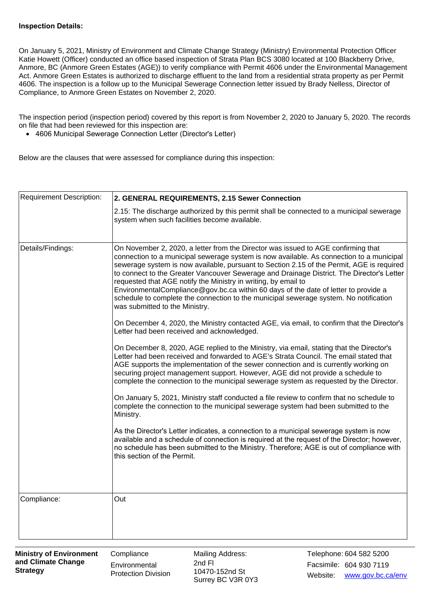## **Inspection Details:**

On January 5, 2021, Ministry of Environment and Climate Change Strategy (Ministry) Environmental Protection Officer Katie Howett (Officer) conducted an office based inspection of Strata Plan BCS 3080 located at 100 Blackberry Drive, Anmore, BC (Anmore Green Estates (AGE)) to verify compliance with Permit 4606 under the Environmental Management Act. Anmore Green Estates is authorized to discharge effluent to the land from a residential strata property as per Permit 4606. The inspection is a follow up to the Municipal Sewerage Connection letter issued by Brady Nelless, Director of Compliance, to Anmore Green Estates on November 2, 2020.

The inspection period (inspection period) covered by this report is from November 2, 2020 to January 5, 2020. The records on file that had been reviewed for this inspection are:

• 4606 Municipal Sewerage Connection Letter (Director's Letter)

Below are the clauses that were assessed for compliance during this inspection:

| <b>Requirement Description:</b> | 2. GENERAL REQUIREMENTS, 2.15 Sewer Connection                                                                                                                                                                                                                                                                                                                                                                                                                                                                                                                                                                                                                                                                                                            |  |  |  |
|---------------------------------|-----------------------------------------------------------------------------------------------------------------------------------------------------------------------------------------------------------------------------------------------------------------------------------------------------------------------------------------------------------------------------------------------------------------------------------------------------------------------------------------------------------------------------------------------------------------------------------------------------------------------------------------------------------------------------------------------------------------------------------------------------------|--|--|--|
|                                 | 2.15: The discharge authorized by this permit shall be connected to a municipal sewerage<br>system when such facilities become available.                                                                                                                                                                                                                                                                                                                                                                                                                                                                                                                                                                                                                 |  |  |  |
| Details/Findings:               | On November 2, 2020, a letter from the Director was issued to AGE confirming that<br>connection to a municipal sewerage system is now available. As connection to a municipal<br>sewerage system is now available, pursuant to Section 2.15 of the Permit, AGE is required<br>to connect to the Greater Vancouver Sewerage and Drainage District. The Director's Letter<br>requested that AGE notify the Ministry in writing, by email to<br>EnvironmentalCompliance@gov.bc.ca within 60 days of the date of letter to provide a<br>schedule to complete the connection to the municipal sewerage system. No notification<br>was submitted to the Ministry.<br>On December 4, 2020, the Ministry contacted AGE, via email, to confirm that the Director's |  |  |  |
|                                 | Letter had been received and acknowledged.                                                                                                                                                                                                                                                                                                                                                                                                                                                                                                                                                                                                                                                                                                                |  |  |  |
|                                 | On December 8, 2020, AGE replied to the Ministry, via email, stating that the Director's<br>Letter had been received and forwarded to AGE's Strata Council. The email stated that<br>AGE supports the implementation of the sewer connection and is currently working on<br>securing project management support. However, AGE did not provide a schedule to<br>complete the connection to the municipal sewerage system as requested by the Director.                                                                                                                                                                                                                                                                                                     |  |  |  |
|                                 | On January 5, 2021, Ministry staff conducted a file review to confirm that no schedule to<br>complete the connection to the municipal sewerage system had been submitted to the<br>Ministry.                                                                                                                                                                                                                                                                                                                                                                                                                                                                                                                                                              |  |  |  |
|                                 | As the Director's Letter indicates, a connection to a municipal sewerage system is now<br>available and a schedule of connection is required at the request of the Director; however,<br>no schedule has been submitted to the Ministry. Therefore; AGE is out of compliance with<br>this section of the Permit.                                                                                                                                                                                                                                                                                                                                                                                                                                          |  |  |  |
|                                 |                                                                                                                                                                                                                                                                                                                                                                                                                                                                                                                                                                                                                                                                                                                                                           |  |  |  |
| Compliance:                     | Out                                                                                                                                                                                                                                                                                                                                                                                                                                                                                                                                                                                                                                                                                                                                                       |  |  |  |

**Compliance Environmental** Protection Division Mailing Address: 10470-152nd St Surrey BC V3R 0Y3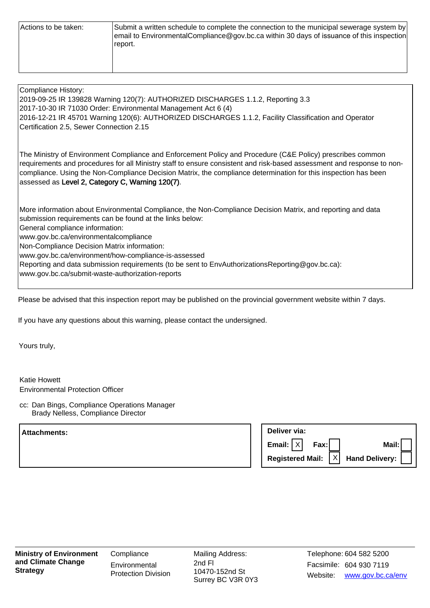| Actions to be taken: | Submit a written schedule to complete the connection to the municipal sewerage system by<br>email to EnvironmentalCompliance@gov.bc.ca within 30 days of issuance of this inspection<br>report. |
|----------------------|-------------------------------------------------------------------------------------------------------------------------------------------------------------------------------------------------|
|                      |                                                                                                                                                                                                 |

| Compliance History:<br>2019-09-25 IR 139828 Warning 120(7): AUTHORIZED DISCHARGES 1.1.2, Reporting 3.3<br>2017-10-30 IR 71030 Order: Environmental Management Act 6 (4)<br>2016-12-21 IR 45701 Warning 120(6): AUTHORIZED DISCHARGES 1.1.2, Facility Classification and Operator<br>Certification 2.5, Sewer Connection 2.15                                                                                                                                                                                       |
|--------------------------------------------------------------------------------------------------------------------------------------------------------------------------------------------------------------------------------------------------------------------------------------------------------------------------------------------------------------------------------------------------------------------------------------------------------------------------------------------------------------------|
| The Ministry of Environment Compliance and Enforcement Policy and Procedure (C&E Policy) prescribes common<br>requirements and procedures for all Ministry staff to ensure consistent and risk-based assessment and response to non-<br>compliance. Using the Non-Compliance Decision Matrix, the compliance determination for this inspection has been<br>assessed as Level 2, Category C, Warning 120(7).                                                                                                        |
| More information about Environmental Compliance, the Non-Compliance Decision Matrix, and reporting and data<br>submission requirements can be found at the links below:<br>General compliance information:<br>www.gov.bc.ca/environmentalcompliance<br>Non-Compliance Decision Matrix information:<br>www.gov.bc.ca/environment/how-compliance-is-assessed<br>Reporting and data submission requirements (to be sent to EnvAuthorizationsReporting@gov.bc.ca):<br>www.gov.bc.ca/submit-waste-authorization-reports |

Please be advised that this inspection report may be published on the provincial government website within 7 days.

If you have any questions about this warning, please contact the undersigned.

Yours truly,

Katie Howett Environmental Protection Officer

cc: Dan Bings, Compliance Operations Manager Brady Nelless, Compliance Director

**Attachments: Deliver via: Email: Fax: Mail:** X **Registered Mail: Hand Delivery:** X

Mailing Address: 10470-152nd St Surrey BC V3R 0Y3